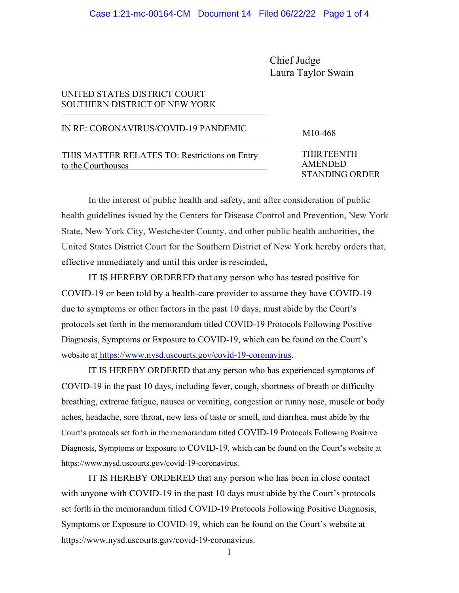Chief Judge Laura Taylor Swain

## UNITED STATES DISTRICT COURT SOUTHERN DISTRICT OF NEW YORK

## IN RE: CORONAVIRUS/COVID-19 PANDEMIC M10-468

THIS MATTER RELATES TO: Restrictions on Entry to the Courthouses

THIRTEENTH AMENDED STANDING ORDER

In the interest of public health and safety, and after consideration of public health guidelines issued by the Centers for Disease Control and Prevention, New York State, New York City, Westchester County, and other public health authorities, the United States District Court for the Southern District of New York hereby orders that, effective immediately and until this order is rescinded,

IT IS HEREBY ORDERED that any person who has tested positive for COVID-19 or been told by a health-care provider to assume they have COVID-19 due to symptoms or other factors in the past 10 days, must abide by the Court's protocols set forth in the memorandum titled COVID-19 Protocols Following Positive Diagnosis, Symptoms or Exposure to COVID-19, which can be found on the Court's website at [https://www.nysd.uscourts.gov/covid-19-coronavirus.](https://www.nysd.uscourts.gov/covid-19-coronavirus)

IT IS HEREBY ORDERED that any person who has experienced symptoms of COVID-19 in the past 10 days, including fever, cough, shortness of breath or difficulty breathing, extreme fatigue, nausea or vomiting, congestion or runny nose, muscle or body aches, headache, sore throat, new loss of taste or smell, and diarrhea, must abide by the Court's protocols set forth in the memorandum titled COVID-19 Protocols Following Positive Diagnosis, Symptoms or Exposure to COVID-19, which can be found on the Court's website at https://www.nysd.uscourts.gov/covid-19-coronavirus.

IT IS HEREBY ORDERED that any person who has been in close contact with anyone with COVID-19 in the past 10 days must abide by the Court's protocols set forth in the memorandum titled COVID-19 Protocols Following Positive Diagnosis, Symptoms or Exposure to COVID-19, which can be found on the Court's website at https://www.nysd.uscourts.gov/covid-19-coronavirus.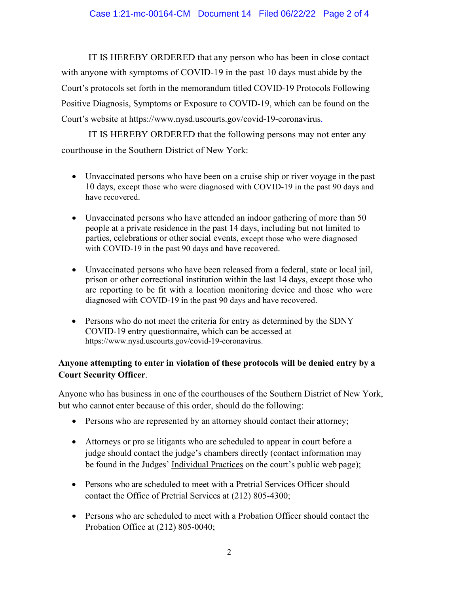IT IS HEREBY ORDERED that any person who has been in close contact with anyone with symptoms of COVID-19 in the past 10 days must abide by the Court's protocols set forth in the memorandum titled COVID-19 Protocols Following Positive Diagnosis, Symptoms or Exposure to COVID-19, which can be found on the Court's website at https://www.nysd.uscourts.gov/covid-19-coronavirus.

IT IS HEREBY ORDERED that the following persons may not enter any courthouse in the Southern District of New York:

- Unvaccinated persons who have been on a cruise ship or river voyage in the past 10 days, except those who were diagnosed with COVID-19 in the past 90 days and have recovered.
- Unvaccinated persons who have attended an indoor gathering of more than 50 people at a private residence in the past 14 days, including but not limited to parties, celebrations or other social events, except those who were diagnosed with COVID-19 in the past 90 days and have recovered.
- Unvaccinated persons who have been released from a federal, state or local jail, prison or other correctional institution within the last 14 days, except those who are reporting to be fit with a location monitoring device and those who were diagnosed with COVID-19 in the past 90 days and have recovered.
- Persons who do not meet the criteria for entry as determined by the SDNY COVID-19 entry questionnaire, which can be accessed at https://www.nysd.uscourts.gov/covid-19-coronavirus.

## **Anyone attempting to enter in violation of these protocols will be denied entry by a Court Security Officer**.

Anyone who has business in one of the courthouses of the Southern District of New York, but who cannot enter because of this order, should do the following:

- Persons who are represented by an attorney should contact their attorney;
- Attorneys or pro se litigants who are scheduled to appear in court before a judge should contact the judge's chambers directly (contact information may be found in the Judges' [Individual Practices](https://nysd.uscourts.gov/judges) on the court's public web page);
- Persons who are scheduled to meet with a Pretrial Services Officer should contact the Office of Pretrial Services at (212) 805-4300;
- Persons who are scheduled to meet with a Probation Officer should contact the Probation Office at (212) 805-0040;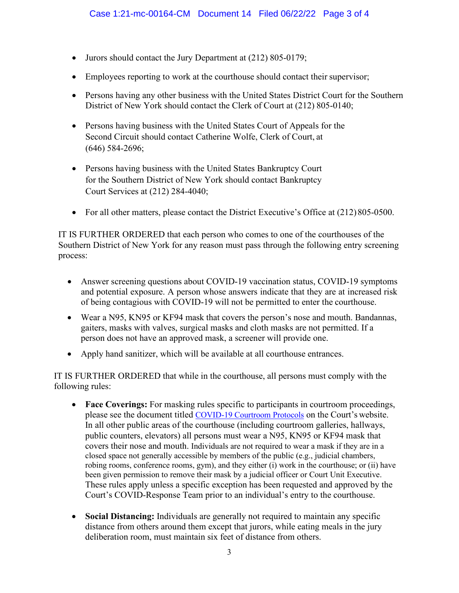- Jurors should contact the Jury Department at (212) 805-0179;
- Employees reporting to work at the courthouse should contact their supervisor;
- Persons having any other business with the United States District Court for the Southern District of New York should contact the Clerk of Court at (212) 805-0140;
- Persons having business with the United States Court of Appeals for the Second Circuit should contact Catherine Wolfe, Clerk of Court, at (646) 584-2696;
- Persons having business with the United States Bankruptcy Court for the Southern District of New York should contact Bankruptcy Court Services at (212) 284-4040;
- For all other matters, please contact the District Executive's Office at (212) 805-0500.

IT IS FURTHER ORDERED that each person who comes to one of the courthouses of the Southern District of New York for any reason must pass through the following entry screening process:

- Answer screening questions about COVID-19 vaccination status, COVID-19 symptoms and potential exposure. A person whose answers indicate that they are at increased risk of being contagious with COVID-19 will not be permitted to enter the courthouse.
- Wear a N95, KN95 or KF94 mask that covers the person's nose and mouth. Bandannas, gaiters, masks with valves, surgical masks and cloth masks are not permitted. If a person does not have an approved mask, a screener will provide one.
- Apply hand sanitizer, which will be available at all courthouse entrances.

IT IS FURTHER ORDERED that while in the courthouse, all persons must comply with the following rules:

- **Face Coverings:** For masking rules specific to participants in courtroom proceedings, please see the document titled [COVID-19 Courtroom Protocols](https://www.nysd.uscourts.gov/sites/default/files/2022-03/COVID%20Courtroom%20Protocol%20for%20Public%20Website%203-23-22.pdf) on the Court's website. In all other public areas of the courthouse (including courtroom galleries, hallways, public counters, elevators) all persons must wear a N95, KN95 or KF94 mask that covers their nose and mouth. Individuals are not required to wear a mask if they are in a closed space not generally accessible by members of the public (e.g., judicial chambers, robing rooms, conference rooms, gym), and they either (i) work in the courthouse; or (ii) have been given permission to remove their mask by a judicial officer or Court Unit Executive. These rules apply unless a specific exception has been requested and approved by the Court's COVID-Response Team prior to an individual's entry to the courthouse.
- **Social Distancing:** Individuals are generally not required to maintain any specific distance from others around them except that jurors, while eating meals in the jury deliberation room, must maintain six feet of distance from others.